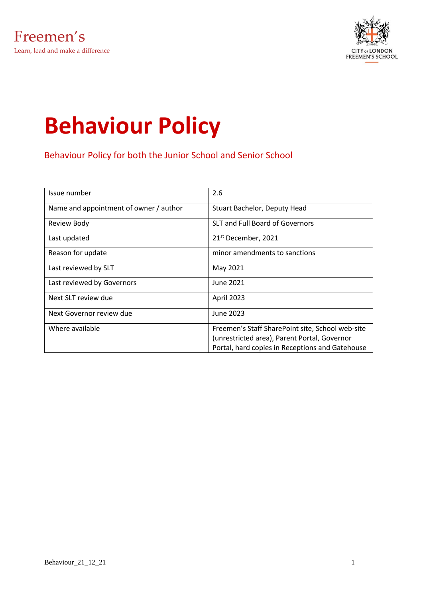

# **Behaviour Policy**

Behaviour Policy for both the Junior School and Senior School

| Issue number                           | 2.6                                                                                                                                                 |
|----------------------------------------|-----------------------------------------------------------------------------------------------------------------------------------------------------|
| Name and appointment of owner / author | Stuart Bachelor, Deputy Head                                                                                                                        |
| <b>Review Body</b>                     | <b>SLT and Full Board of Governors</b>                                                                                                              |
| Last updated                           | 21 <sup>st</sup> December, 2021                                                                                                                     |
| Reason for update                      | minor amendments to sanctions                                                                                                                       |
| Last reviewed by SLT                   | May 2021                                                                                                                                            |
| Last reviewed by Governors             | June 2021                                                                                                                                           |
| Next SLT review due                    | April 2023                                                                                                                                          |
| Next Governor review due               | June 2023                                                                                                                                           |
| Where available                        | Freemen's Staff SharePoint site, School web-site<br>(unrestricted area), Parent Portal, Governor<br>Portal, hard copies in Receptions and Gatehouse |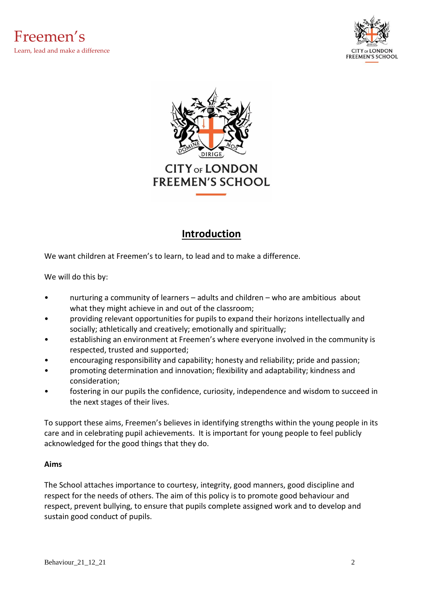



# **Introduction**

We want children at Freemen's to learn, to lead and to make a difference.

We will do this by:

- nurturing a community of learners adults and children who are ambitious about what they might achieve in and out of the classroom;
- providing relevant opportunities for pupils to expand their horizons intellectually and socially; athletically and creatively; emotionally and spiritually;
- establishing an environment at Freemen's where everyone involved in the community is respected, trusted and supported;
- encouraging responsibility and capability; honesty and reliability; pride and passion;
- promoting determination and innovation; flexibility and adaptability; kindness and consideration;
- fostering in our pupils the confidence, curiosity, independence and wisdom to succeed in the next stages of their lives.

To support these aims, Freemen's believes in identifying strengths within the young people in its care and in celebrating pupil achievements. It is important for young people to feel publicly acknowledged for the good things that they do.

#### **Aims**

The School attaches importance to courtesy, integrity, good manners, good discipline and respect for the needs of others. The aim of this policy is to promote good behaviour and respect, prevent bullying, to ensure that pupils complete assigned work and to develop and sustain good conduct of pupils.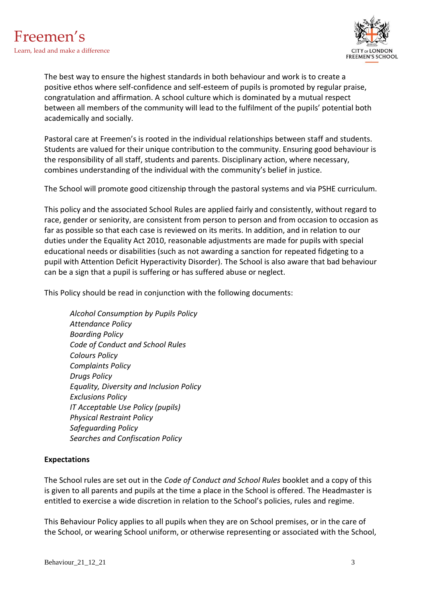

The best way to ensure the highest standards in both behaviour and work is to create a positive ethos where self-confidence and self-esteem of pupils is promoted by regular praise, congratulation and affirmation. A school culture which is dominated by a mutual respect between all members of the community will lead to the fulfilment of the pupils' potential both academically and socially.

Pastoral care at Freemen's is rooted in the individual relationships between staff and students. Students are valued for their unique contribution to the community. Ensuring good behaviour is the responsibility of all staff, students and parents. Disciplinary action, where necessary, combines understanding of the individual with the community's belief in justice.

The School will promote good citizenship through the pastoral systems and via PSHE curriculum.

This policy and the associated School Rules are applied fairly and consistently, without regard to race, gender or seniority, are consistent from person to person and from occasion to occasion as far as possible so that each case is reviewed on its merits. In addition, and in relation to our duties under the Equality Act 2010, reasonable adjustments are made for pupils with special educational needs or disabilities (such as not awarding a sanction for repeated fidgeting to a pupil with Attention Deficit Hyperactivity Disorder). The School is also aware that bad behaviour can be a sign that a pupil is suffering or has suffered abuse or neglect.

This Policy should be read in conjunction with the following documents:

*Alcohol Consumption by Pupils Policy Attendance Policy Boarding Policy Code of Conduct and School Rules Colours Policy Complaints Policy Drugs Policy Equality, Diversity and Inclusion Policy Exclusions Policy IT Acceptable Use Policy (pupils) Physical Restraint Policy Safeguarding Policy Searches and Confiscation Policy*

#### **Expectations**

The School rules are set out in the *Code of Conduct and School Rules* booklet and a copy of this is given to all parents and pupils at the time a place in the School is offered. The Headmaster is entitled to exercise a wide discretion in relation to the School's policies, rules and regime.

This Behaviour Policy applies to all pupils when they are on School premises, or in the care of the School, or wearing School uniform, or otherwise representing or associated with the School,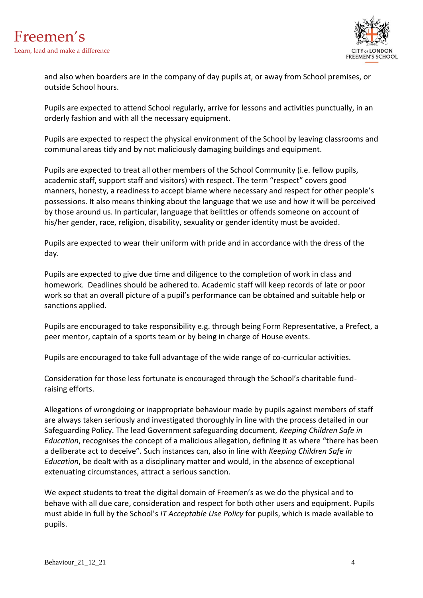

and also when boarders are in the company of day pupils at, or away from School premises, or outside School hours.

Pupils are expected to attend School regularly, arrive for lessons and activities punctually, in an orderly fashion and with all the necessary equipment.

Pupils are expected to respect the physical environment of the School by leaving classrooms and communal areas tidy and by not maliciously damaging buildings and equipment.

Pupils are expected to treat all other members of the School Community (i.e. fellow pupils, academic staff, support staff and visitors) with respect. The term "respect" covers good manners, honesty, a readiness to accept blame where necessary and respect for other people's possessions. It also means thinking about the language that we use and how it will be perceived by those around us. In particular, language that belittles or offends someone on account of his/her gender, race, religion, disability, sexuality or gender identity must be avoided.

Pupils are expected to wear their uniform with pride and in accordance with the dress of the day.

Pupils are expected to give due time and diligence to the completion of work in class and homework. Deadlines should be adhered to. Academic staff will keep records of late or poor work so that an overall picture of a pupil's performance can be obtained and suitable help or sanctions applied.

Pupils are encouraged to take responsibility e.g. through being Form Representative, a Prefect, a peer mentor, captain of a sports team or by being in charge of House events.

Pupils are encouraged to take full advantage of the wide range of co-curricular activities.

Consideration for those less fortunate is encouraged through the School's charitable fundraising efforts.

Allegations of wrongdoing or inappropriate behaviour made by pupils against members of staff are always taken seriously and investigated thoroughly in line with the process detailed in our Safeguarding Policy. The lead Government safeguarding document, *Keeping Children Safe in Education*, recognises the concept of a malicious allegation, defining it as where "there has been a deliberate act to deceive". Such instances can, also in line with *Keeping Children Safe in Education*, be dealt with as a disciplinary matter and would, in the absence of exceptional extenuating circumstances, attract a serious sanction.

We expect students to treat the digital domain of Freemen's as we do the physical and to behave with all due care, consideration and respect for both other users and equipment. Pupils must abide in full by the School's *IT Acceptable Use Policy* for pupils, which is made available to pupils.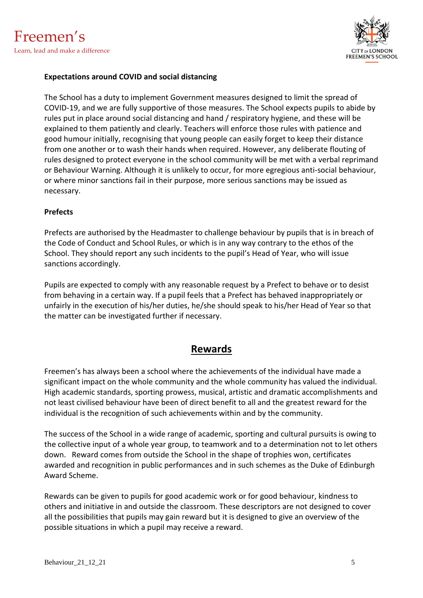

#### **Expectations around COVID and social distancing**

The School has a duty to implement Government measures designed to limit the spread of COVID-19, and we are fully supportive of those measures. The School expects pupils to abide by rules put in place around social distancing and hand / respiratory hygiene, and these will be explained to them patiently and clearly. Teachers will enforce those rules with patience and good humour initially, recognising that young people can easily forget to keep their distance from one another or to wash their hands when required. However, any deliberate flouting of rules designed to protect everyone in the school community will be met with a verbal reprimand or Behaviour Warning. Although it is unlikely to occur, for more egregious anti-social behaviour, or where minor sanctions fail in their purpose, more serious sanctions may be issued as necessary.

#### **Prefects**

Prefects are authorised by the Headmaster to challenge behaviour by pupils that is in breach of the Code of Conduct and School Rules, or which is in any way contrary to the ethos of the School. They should report any such incidents to the pupil's Head of Year, who will issue sanctions accordingly.

Pupils are expected to comply with any reasonable request by a Prefect to behave or to desist from behaving in a certain way. If a pupil feels that a Prefect has behaved inappropriately or unfairly in the execution of his/her duties, he/she should speak to his/her Head of Year so that the matter can be investigated further if necessary.

## **Rewards**

Freemen's has always been a school where the achievements of the individual have made a significant impact on the whole community and the whole community has valued the individual. High academic standards, sporting prowess, musical, artistic and dramatic accomplishments and not least civilised behaviour have been of direct benefit to all and the greatest reward for the individual is the recognition of such achievements within and by the community.

The success of the School in a wide range of academic, sporting and cultural pursuits is owing to the collective input of a whole year group, to teamwork and to a determination not to let others down. Reward comes from outside the School in the shape of trophies won, certificates awarded and recognition in public performances and in such schemes as the Duke of Edinburgh Award Scheme.

Rewards can be given to pupils for good academic work or for good behaviour, kindness to others and initiative in and outside the classroom. These descriptors are not designed to cover all the possibilities that pupils may gain reward but it is designed to give an overview of the possible situations in which a pupil may receive a reward.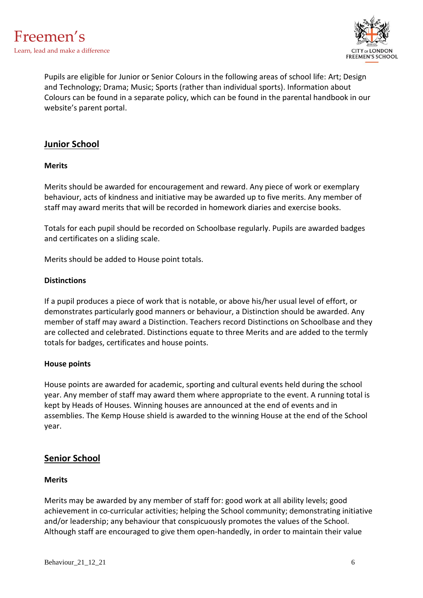

Pupils are eligible for Junior or Senior Colours in the following areas of school life: Art; Design and Technology; Drama; Music; Sports (rather than individual sports). Information about Colours can be found in a separate policy, which can be found in the parental handbook in our website's parent portal.

## **Junior School**

#### **Merits**

Merits should be awarded for encouragement and reward. Any piece of work or exemplary behaviour, acts of kindness and initiative may be awarded up to five merits. Any member of staff may award merits that will be recorded in homework diaries and exercise books.

Totals for each pupil should be recorded on Schoolbase regularly. Pupils are awarded badges and certificates on a sliding scale.

Merits should be added to House point totals.

#### **Distinctions**

If a pupil produces a piece of work that is notable, or above his/her usual level of effort, or demonstrates particularly good manners or behaviour, a Distinction should be awarded. Any member of staff may award a Distinction. Teachers record Distinctions on Schoolbase and they are collected and celebrated. Distinctions equate to three Merits and are added to the termly totals for badges, certificates and house points.

#### **House points**

House points are awarded for academic, sporting and cultural events held during the school year. Any member of staff may award them where appropriate to the event. A running total is kept by Heads of Houses. Winning houses are announced at the end of events and in assemblies. The Kemp House shield is awarded to the winning House at the end of the School year.

#### **Senior School**

#### **Merits**

Merits may be awarded by any member of staff for: good work at all ability levels; good achievement in co-curricular activities; helping the School community; demonstrating initiative and/or leadership; any behaviour that conspicuously promotes the values of the School. Although staff are encouraged to give them open-handedly, in order to maintain their value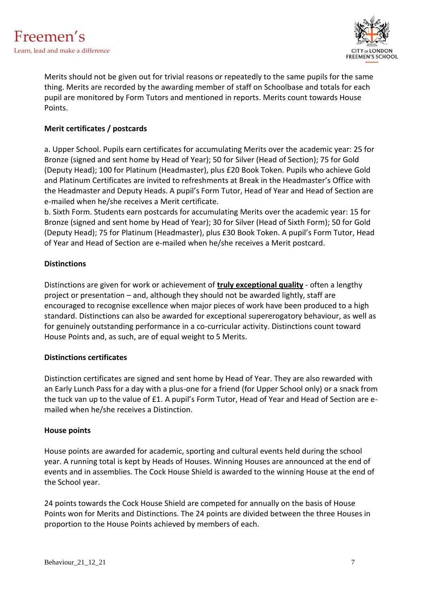

Merits should not be given out for trivial reasons or repeatedly to the same pupils for the same thing. Merits are recorded by the awarding member of staff on Schoolbase and totals for each pupil are monitored by Form Tutors and mentioned in reports. Merits count towards House Points.

#### **Merit certificates / postcards**

a. Upper School. Pupils earn certificates for accumulating Merits over the academic year: 25 for Bronze (signed and sent home by Head of Year); 50 for Silver (Head of Section); 75 for Gold (Deputy Head); 100 for Platinum (Headmaster), plus £20 Book Token. Pupils who achieve Gold and Platinum Certificates are invited to refreshments at Break in the Headmaster's Office with the Headmaster and Deputy Heads. A pupil's Form Tutor, Head of Year and Head of Section are e-mailed when he/she receives a Merit certificate.

b. Sixth Form. Students earn postcards for accumulating Merits over the academic year: 15 for Bronze (signed and sent home by Head of Year); 30 for Silver (Head of Sixth Form); 50 for Gold (Deputy Head); 75 for Platinum (Headmaster), plus £30 Book Token. A pupil's Form Tutor, Head of Year and Head of Section are e-mailed when he/she receives a Merit postcard.

#### **Distinctions**

Distinctions are given for work or achievement of **truly exceptional quality** - often a lengthy project or presentation – and, although they should not be awarded lightly, staff are encouraged to recognise excellence when major pieces of work have been produced to a high standard. Distinctions can also be awarded for exceptional supererogatory behaviour, as well as for genuinely outstanding performance in a co-curricular activity. Distinctions count toward House Points and, as such, are of equal weight to 5 Merits.

#### **Distinctions certificates**

Distinction certificates are signed and sent home by Head of Year. They are also rewarded with an Early Lunch Pass for a day with a plus-one for a friend (for Upper School only) or a snack from the tuck van up to the value of £1. A pupil's Form Tutor, Head of Year and Head of Section are emailed when he/she receives a Distinction.

#### **House points**

House points are awarded for academic, sporting and cultural events held during the school year. A running total is kept by Heads of Houses. Winning Houses are announced at the end of events and in assemblies. The Cock House Shield is awarded to the winning House at the end of the School year.

24 points towards the Cock House Shield are competed for annually on the basis of House Points won for Merits and Distinctions. The 24 points are divided between the three Houses in proportion to the House Points achieved by members of each.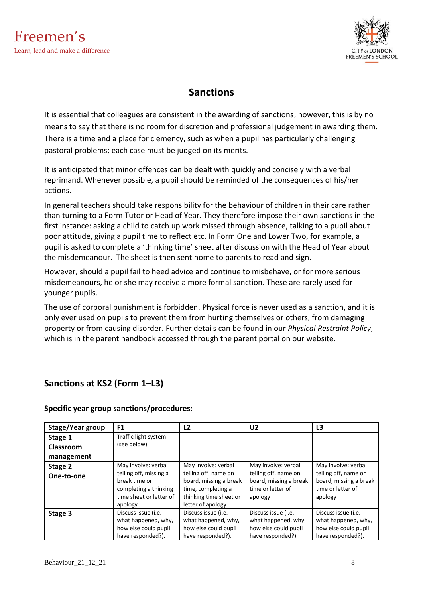

# **Sanctions**

It is essential that colleagues are consistent in the awarding of sanctions; however, this is by no means to say that there is no room for discretion and professional judgement in awarding them. There is a time and a place for clemency, such as when a pupil has particularly challenging pastoral problems; each case must be judged on its merits.

It is anticipated that minor offences can be dealt with quickly and concisely with a verbal reprimand. Whenever possible, a pupil should be reminded of the consequences of his/her actions.

In general teachers should take responsibility for the behaviour of children in their care rather than turning to a Form Tutor or Head of Year. They therefore impose their own sanctions in the first instance: asking a child to catch up work missed through absence, talking to a pupil about poor attitude, giving a pupil time to reflect etc. In Form One and Lower Two, for example, a pupil is asked to complete a 'thinking time' sheet after discussion with the Head of Year about the misdemeanour. The sheet is then sent home to parents to read and sign.

However, should a pupil fail to heed advice and continue to misbehave, or for more serious misdemeanours, he or she may receive a more formal sanction. These are rarely used for younger pupils.

The use of corporal punishment is forbidden. Physical force is never used as a sanction, and it is only ever used on pupils to prevent them from hurting themselves or others, from damaging property or from causing disorder. Further details can be found in our *Physical Restraint Policy*, which is in the parent handbook accessed through the parent portal on our website.

# **Sanctions at KS2 (Form 1–L3)**

#### **Specific year group sanctions/procedures:**

| Stage/Year group | F <sub>1</sub>          | L <sub>2</sub>         | U <sub>2</sub>         | L3                     |
|------------------|-------------------------|------------------------|------------------------|------------------------|
| Stage 1          | Traffic light system    |                        |                        |                        |
| Classroom        | (see below)             |                        |                        |                        |
| management       |                         |                        |                        |                        |
| Stage 2          | May involve: verbal     | May involve: verbal    | May involve: verbal    | May involve: verbal    |
| One-to-one       | telling off, missing a  | telling off, name on   | telling off, name on   | telling off, name on   |
|                  | break time or           | board, missing a break | board, missing a break | board, missing a break |
|                  | completing a thinking   | time, completing a     | time or letter of      | time or letter of      |
|                  | time sheet or letter of | thinking time sheet or | apology                | apology                |
|                  | apology                 | letter of apology      |                        |                        |
| Stage 3          | Discuss issue (i.e.     | Discuss issue (i.e.    | Discuss issue (i.e.    | Discuss issue (i.e.    |
|                  | what happened, why,     | what happened, why,    | what happened, why,    | what happened, why,    |
|                  | how else could pupil    | how else could pupil   | how else could pupil   | how else could pupil   |
|                  | have responded?).       | have responded?).      | have responded?).      | have responded?).      |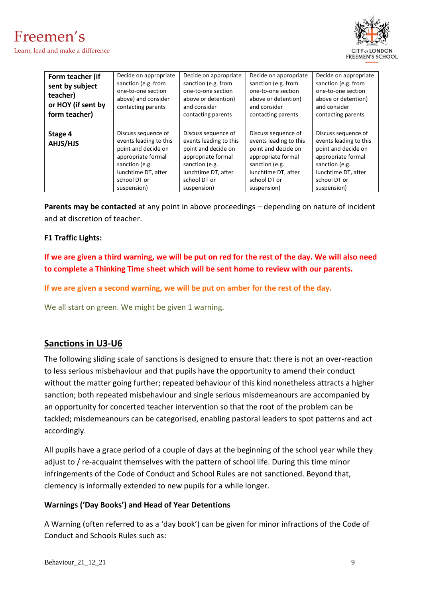



| Form teacher (if<br>sent by subject<br>teacher)<br>or HOY (if sent by<br>form teacher) | Decide on appropriate<br>sanction (e.g. from<br>one-to-one section<br>above) and consider<br>contacting parents                                                    | Decide on appropriate<br>sanction (e.g. from<br>one-to-one section<br>above or detention)<br>and consider<br>contacting parents                                    | Decide on appropriate<br>sanction (e.g. from<br>one-to-one section<br>above or detention)<br>and consider<br>contacting parents                                    | Decide on appropriate<br>sanction (e.g. from<br>one-to-one section<br>above or detention)<br>and consider<br>contacting parents                                    |
|----------------------------------------------------------------------------------------|--------------------------------------------------------------------------------------------------------------------------------------------------------------------|--------------------------------------------------------------------------------------------------------------------------------------------------------------------|--------------------------------------------------------------------------------------------------------------------------------------------------------------------|--------------------------------------------------------------------------------------------------------------------------------------------------------------------|
| Stage 4<br>AHJS/HJS                                                                    | Discuss sequence of<br>events leading to this<br>point and decide on<br>appropriate formal<br>sanction (e.g.<br>lunchtime DT, after<br>school DT or<br>suspension) | Discuss sequence of<br>events leading to this<br>point and decide on<br>appropriate formal<br>sanction (e.g.<br>lunchtime DT, after<br>school DT or<br>suspension) | Discuss sequence of<br>events leading to this<br>point and decide on<br>appropriate formal<br>sanction (e.g.<br>lunchtime DT, after<br>school DT or<br>suspension) | Discuss sequence of<br>events leading to this<br>point and decide on<br>appropriate formal<br>sanction (e.g.<br>lunchtime DT, after<br>school DT or<br>suspension) |

**Parents may be contacted** at any point in above proceedings – depending on nature of incident and at discretion of teacher.

#### **F1 Traffic Lights:**

**If we are given a third warning, we will be put on red for the rest of the day. We will also need to complete a Thinking Time sheet which will be sent home to review with our parents.** 

**If we are given a second warning, we will be put on amber for the rest of the day.** 

We all start on green. We might be given 1 warning.

#### **Sanctions in U3-U6**

The following sliding scale of sanctions is designed to ensure that: there is not an over-reaction to less serious misbehaviour and that pupils have the opportunity to amend their conduct without the matter going further; repeated behaviour of this kind nonetheless attracts a higher sanction; both repeated misbehaviour and single serious misdemeanours are accompanied by an opportunity for concerted teacher intervention so that the root of the problem can be tackled; misdemeanours can be categorised, enabling pastoral leaders to spot patterns and act accordingly.

All pupils have a grace period of a couple of days at the beginning of the school year while they adjust to / re-acquaint themselves with the pattern of school life. During this time minor infringements of the Code of Conduct and School Rules are not sanctioned. Beyond that, clemency is informally extended to new pupils for a while longer.

#### **Warnings ('Day Books') and Head of Year Detentions**

A Warning (often referred to as a 'day book') can be given for minor infractions of the Code of Conduct and Schools Rules such as: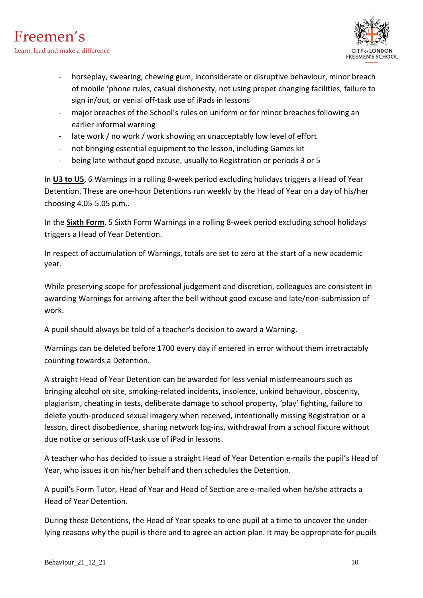

- horseplay, swearing, chewing gum, inconsiderate or disruptive behaviour, minor breach of mobile 'phone rules, casual dishonesty, not using proper changing facilities, failure to sign in/out, or venial off-task use of iPads in lessons
- major breaches of the School's rules on uniform or for minor breaches following an earlier informal warning
- late work / no work / work showing an unacceptably low level of effort
- not bringing essential equipment to the lesson, including Games kit
- being late without good excuse, usually to Registration or periods 3 or 5

In **U3 to U5**, 6 Warnings in a rolling 8-week period excluding holidays triggers a Head of Year Detention. These are one-hour Detentions run weekly by the Head of Year on a day of his/her choosing 4.05-5.05 p.m..

In the **Sixth Form**, 5 Sixth Form Warnings in a rolling 8-week period excluding school holidays triggers a Head of Year Detention.

In respect of accumulation of Warnings, totals are set to zero at the start of a new academic year.

While preserving scope for professional judgement and discretion, colleagues are consistent in awarding Warnings for arriving after the bell without good excuse and late/non-submission of work.

A pupil should always be told of a teacher's decision to award a Warning.

Warnings can be deleted before 1700 every day if entered in error without them irretractably counting towards a Detention.

A straight Head of Year Detention can be awarded for less venial misdemeanours such as bringing alcohol on site, smoking-related incidents, insolence, unkind behaviour, obscenity, plagiarism, cheating in tests, deliberate damage to school property, 'play' fighting, failure to delete youth-produced sexual imagery when received, intentionally missing Registration or a lesson, direct disobedience, sharing network log-ins, withdrawal from a school fixture without due notice or serious off-task use of iPad in lessons.

A teacher who has decided to issue a straight Head of Year Detention e-mails the pupil's Head of Year, who issues it on his/her behalf and then schedules the Detention.

A pupil's Form Tutor, Head of Year and Head of Section are e-mailed when he/she attracts a Head of Year Detention.

During these Detentions, the Head of Year speaks to one pupil at a time to uncover the underlying reasons why the pupil is there and to agree an action plan. It may be appropriate for pupils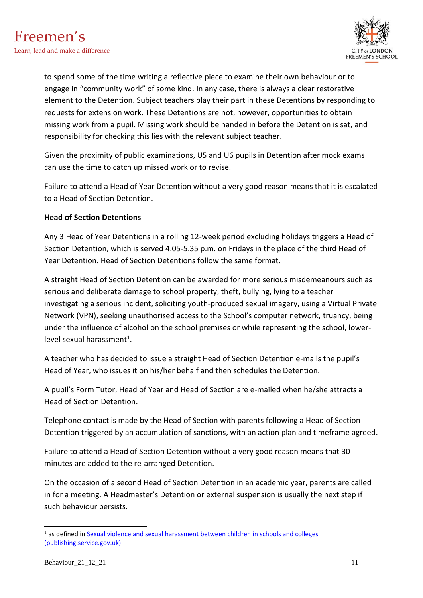

to spend some of the time writing a reflective piece to examine their own behaviour or to engage in "community work" of some kind. In any case, there is always a clear restorative element to the Detention. Subject teachers play their part in these Detentions by responding to requests for extension work. These Detentions are not, however, opportunities to obtain missing work from a pupil. Missing work should be handed in before the Detention is sat, and responsibility for checking this lies with the relevant subject teacher.

Given the proximity of public examinations, U5 and U6 pupils in Detention after mock exams can use the time to catch up missed work or to revise.

Failure to attend a Head of Year Detention without a very good reason means that it is escalated to a Head of Section Detention.

#### **Head of Section Detentions**

Any 3 Head of Year Detentions in a rolling 12-week period excluding holidays triggers a Head of Section Detention, which is served 4.05-5.35 p.m. on Fridays in the place of the third Head of Year Detention. Head of Section Detentions follow the same format.

A straight Head of Section Detention can be awarded for more serious misdemeanours such as serious and deliberate damage to school property, theft, bullying, lying to a teacher investigating a serious incident, soliciting youth-produced sexual imagery, using a Virtual Private Network (VPN), seeking unauthorised access to the School's computer network, truancy, being under the influence of alcohol on the school premises or while representing the school, lowerlevel sexual harassment<sup>1</sup>.

A teacher who has decided to issue a straight Head of Section Detention e-mails the pupil's Head of Year, who issues it on his/her behalf and then schedules the Detention.

A pupil's Form Tutor, Head of Year and Head of Section are e-mailed when he/she attracts a Head of Section Detention.

Telephone contact is made by the Head of Section with parents following a Head of Section Detention triggered by an accumulation of sanctions, with an action plan and timeframe agreed.

Failure to attend a Head of Section Detention without a very good reason means that 30 minutes are added to the re-arranged Detention.

On the occasion of a second Head of Section Detention in an academic year, parents are called in for a meeting. A Headmaster's Detention or external suspension is usually the next step if such behaviour persists.

 $<sup>1</sup>$  as defined in Sexual violence and sexual harassment between children in schools and colleges</sup> [\(publishing.service.gov.uk\)](https://assets.publishing.service.gov.uk/government/uploads/system/uploads/attachment_data/file/1014224/Sexual_violence_and_sexual_harassment_between_children_in_schools_and_colleges.pdf)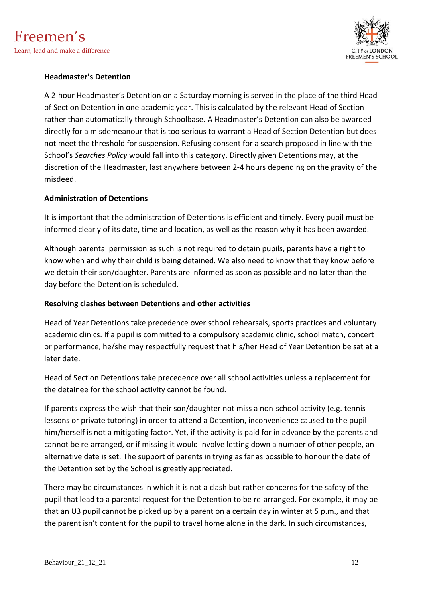

#### **Headmaster's Detention**

A 2-hour Headmaster's Detention on a Saturday morning is served in the place of the third Head of Section Detention in one academic year. This is calculated by the relevant Head of Section rather than automatically through Schoolbase. A Headmaster's Detention can also be awarded directly for a misdemeanour that is too serious to warrant a Head of Section Detention but does not meet the threshold for suspension. Refusing consent for a search proposed in line with the School's *Searches Policy* would fall into this category. Directly given Detentions may, at the discretion of the Headmaster, last anywhere between 2-4 hours depending on the gravity of the misdeed.

#### **Administration of Detentions**

It is important that the administration of Detentions is efficient and timely. Every pupil must be informed clearly of its date, time and location, as well as the reason why it has been awarded.

Although parental permission as such is not required to detain pupils, parents have a right to know when and why their child is being detained. We also need to know that they know before we detain their son/daughter. Parents are informed as soon as possible and no later than the day before the Detention is scheduled.

#### **Resolving clashes between Detentions and other activities**

Head of Year Detentions take precedence over school rehearsals, sports practices and voluntary academic clinics. If a pupil is committed to a compulsory academic clinic, school match, concert or performance, he/she may respectfully request that his/her Head of Year Detention be sat at a later date.

Head of Section Detentions take precedence over all school activities unless a replacement for the detainee for the school activity cannot be found.

If parents express the wish that their son/daughter not miss a non-school activity (e.g. tennis lessons or private tutoring) in order to attend a Detention, inconvenience caused to the pupil him/herself is not a mitigating factor. Yet, if the activity is paid for in advance by the parents and cannot be re-arranged, or if missing it would involve letting down a number of other people, an alternative date is set. The support of parents in trying as far as possible to honour the date of the Detention set by the School is greatly appreciated.

There may be circumstances in which it is not a clash but rather concerns for the safety of the pupil that lead to a parental request for the Detention to be re-arranged. For example, it may be that an U3 pupil cannot be picked up by a parent on a certain day in winter at 5 p.m., and that the parent isn't content for the pupil to travel home alone in the dark. In such circumstances,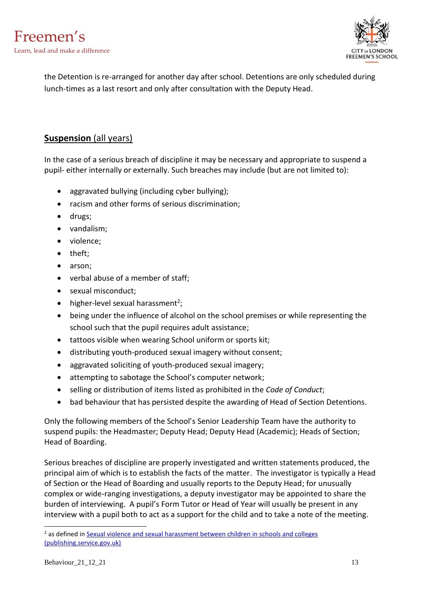

the Detention is re-arranged for another day after school. Detentions are only scheduled during lunch-times as a last resort and only after consultation with the Deputy Head.

## **Suspension** (all years)

In the case of a serious breach of discipline it may be necessary and appropriate to suspend a pupil- either internally or externally. Such breaches may include (but are not limited to):

- aggravated bullying (including cyber bullying);
- racism and other forms of serious discrimination;
- drugs;
- vandalism;
- violence;
- theft;
- arson:
- verbal abuse of a member of staff;
- sexual misconduct;
- $\bullet$  higher-level sexual harassment<sup>2</sup>;
- being under the influence of alcohol on the school premises or while representing the school such that the pupil requires adult assistance;
- tattoos visible when wearing School uniform or sports kit;
- distributing youth-produced sexual imagery without consent;
- aggravated soliciting of youth-produced sexual imagery;
- attempting to sabotage the School's computer network;
- selling or distribution of items listed as prohibited in the *Code of Conduct*;
- bad behaviour that has persisted despite the awarding of Head of Section Detentions.

Only the following members of the School's Senior Leadership Team have the authority to suspend pupils: the Headmaster; Deputy Head; Deputy Head (Academic); Heads of Section; Head of Boarding.

Serious breaches of discipline are properly investigated and written statements produced, the principal aim of which is to establish the facts of the matter. The investigator is typically a Head of Section or the Head of Boarding and usually reports to the Deputy Head; for unusually complex or wide-ranging investigations, a deputy investigator may be appointed to share the burden of interviewing. A pupil's Form Tutor or Head of Year will usually be present in any interview with a pupil both to act as a support for the child and to take a note of the meeting.

<sup>&</sup>lt;sup>2</sup> as defined in Sexual violence and sexual harassment between children in schools and colleges [\(publishing.service.gov.uk\)](https://assets.publishing.service.gov.uk/government/uploads/system/uploads/attachment_data/file/1014224/Sexual_violence_and_sexual_harassment_between_children_in_schools_and_colleges.pdf)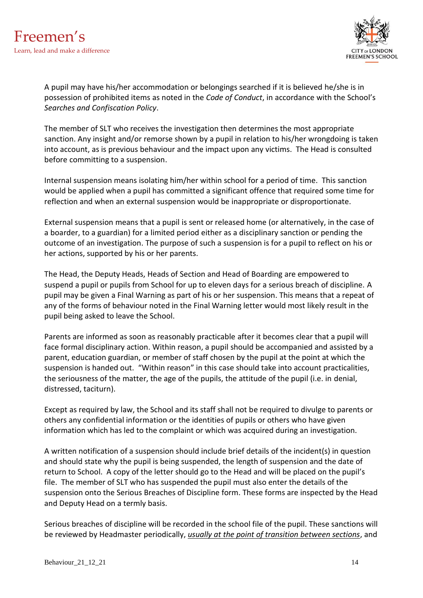

A pupil may have his/her accommodation or belongings searched if it is believed he/she is in possession of prohibited items as noted in the *Code of Conduct*, in accordance with the School's *Searches and Confiscation Policy*.

The member of SLT who receives the investigation then determines the most appropriate sanction. Any insight and/or remorse shown by a pupil in relation to his/her wrongdoing is taken into account, as is previous behaviour and the impact upon any victims. The Head is consulted before committing to a suspension.

Internal suspension means isolating him/her within school for a period of time. This sanction would be applied when a pupil has committed a significant offence that required some time for reflection and when an external suspension would be inappropriate or disproportionate.

External suspension means that a pupil is sent or released home (or alternatively, in the case of a boarder, to a guardian) for a limited period either as a disciplinary sanction or pending the outcome of an investigation. The purpose of such a suspension is for a pupil to reflect on his or her actions, supported by his or her parents.

The Head, the Deputy Heads, Heads of Section and Head of Boarding are empowered to suspend a pupil or pupils from School for up to eleven days for a serious breach of discipline. A pupil may be given a Final Warning as part of his or her suspension. This means that a repeat of any of the forms of behaviour noted in the Final Warning letter would most likely result in the pupil being asked to leave the School.

Parents are informed as soon as reasonably practicable after it becomes clear that a pupil will face formal disciplinary action. Within reason, a pupil should be accompanied and assisted by a parent, education guardian, or member of staff chosen by the pupil at the point at which the suspension is handed out. "Within reason" in this case should take into account practicalities, the seriousness of the matter, the age of the pupils, the attitude of the pupil (i.e. in denial, distressed, taciturn).

Except as required by law, the School and its staff shall not be required to divulge to parents or others any confidential information or the identities of pupils or others who have given information which has led to the complaint or which was acquired during an investigation.

A written notification of a suspension should include brief details of the incident(s) in question and should state why the pupil is being suspended, the length of suspension and the date of return to School. A copy of the letter should go to the Head and will be placed on the pupil's file. The member of SLT who has suspended the pupil must also enter the details of the suspension onto the Serious Breaches of Discipline form. These forms are inspected by the Head and Deputy Head on a termly basis.

Serious breaches of discipline will be recorded in the school file of the pupil. These sanctions will be reviewed by Headmaster periodically, *usually at the point of transition between sections*, and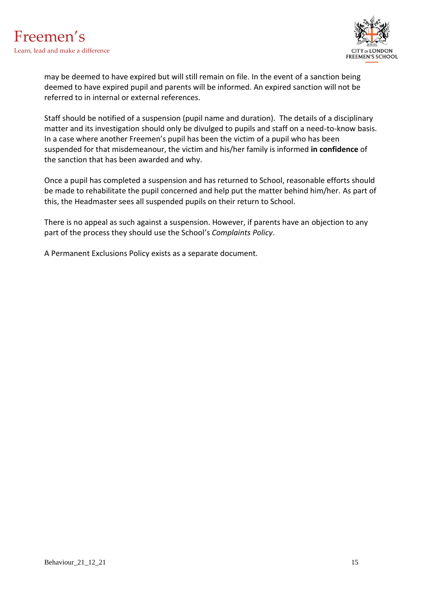

may be deemed to have expired but will still remain on file. In the event of a sanction being deemed to have expired pupil and parents will be informed. An expired sanction will not be referred to in internal or external references.

Staff should be notified of a suspension (pupil name and duration). The details of a disciplinary matter and its investigation should only be divulged to pupils and staff on a need-to-know basis. In a case where another Freemen's pupil has been the victim of a pupil who has been suspended for that misdemeanour, the victim and his/her family is informed **in confidence** of the sanction that has been awarded and why.

Once a pupil has completed a suspension and has returned to School, reasonable efforts should be made to rehabilitate the pupil concerned and help put the matter behind him/her. As part of this, the Headmaster sees all suspended pupils on their return to School.

There is no appeal as such against a suspension. However, if parents have an objection to any part of the process they should use the School's *Complaints Policy*.

A Permanent Exclusions Policy exists as a separate document.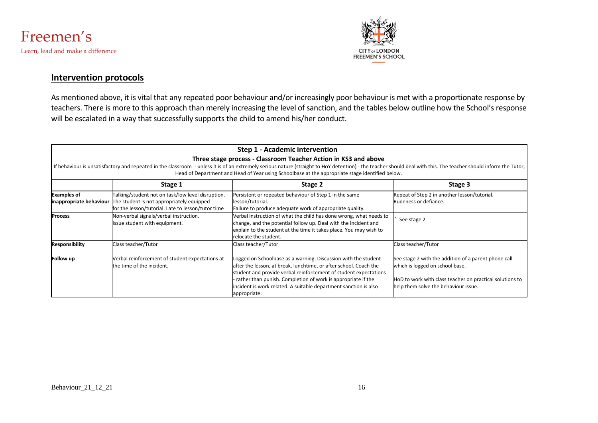



## **Intervention protocols**

As mentioned above, it is vital that any repeated poor behaviour and/or increasingly poor behaviour is met with a proportionate response by teachers. There is more to this approach than merely increasing the level of sanction, and the tables below outline how the School's response will be escalated in a way that successfully supports the child to amend his/her conduct.

|                       |                                                                                                                                                                                     | Step 1 - Academic intervention                                                                                                                                                                                                                                                                                                                              |                                                                                                                                                                                             |
|-----------------------|-------------------------------------------------------------------------------------------------------------------------------------------------------------------------------------|-------------------------------------------------------------------------------------------------------------------------------------------------------------------------------------------------------------------------------------------------------------------------------------------------------------------------------------------------------------|---------------------------------------------------------------------------------------------------------------------------------------------------------------------------------------------|
|                       |                                                                                                                                                                                     | Three stage process - Classroom Teacher Action in KS3 and above                                                                                                                                                                                                                                                                                             |                                                                                                                                                                                             |
|                       |                                                                                                                                                                                     | If behaviour is unsatisfactory and repeated in the classroom - unless it is of an extremely serious nature (straight to HoY detention) - the teacher should deal with this. The teacher should inform the Tutor,<br>Head of Department and Head of Year using Schoolbase at the appropriate stage identified below.                                         |                                                                                                                                                                                             |
|                       | Stage 1                                                                                                                                                                             | Stage 2                                                                                                                                                                                                                                                                                                                                                     | Stage 3                                                                                                                                                                                     |
| <b>Examples of</b>    | Talking/student not on task/low level disruption.<br><b>inappropriate behaviour</b> The student is not appropriately equipped<br>for the lesson/tutorial. Late to lesson/tutor time | Persistent or repeated behaviour of Step 1 in the same<br>lesson/tutorial.<br>Failure to produce adequate work of appropriate quality.                                                                                                                                                                                                                      | Repeat of Step 2 in another lesson/tutorial.<br>Rudeness or defiance.                                                                                                                       |
| <b>Process</b>        | Non-verbal signals/verbal instruction.<br>Issue student with equipment.                                                                                                             | Verbal instruction of what the child has done wrong, what needs to<br>change, and the potential follow up. Deal with the incident and<br>explain to the student at the time it takes place. You may wish to<br>relocate the student.                                                                                                                        | See stage 2                                                                                                                                                                                 |
| <b>Responsibility</b> | Class teacher/Tutor                                                                                                                                                                 | Class teacher/Tutor                                                                                                                                                                                                                                                                                                                                         | Class teacher/Tutor                                                                                                                                                                         |
| Follow up             | Verbal reinforcement of student expectations at<br>the time of the incident.                                                                                                        | Logged on Schoolbase as a warning. Discussion with the student<br>after the lesson, at break, lunchtime, or after school. Coach the<br>student and provide verbal reinforcement of student expectations<br>rather than punish. Completion of work is appropriate if the<br>incident is work related. A suitable department sanction is also<br>appropriate. | See stage 2 with the addition of a parent phone call<br>which is logged on school base.<br>HoD to work with class teacher on practical solutions to<br>help them solve the behaviour issue. |